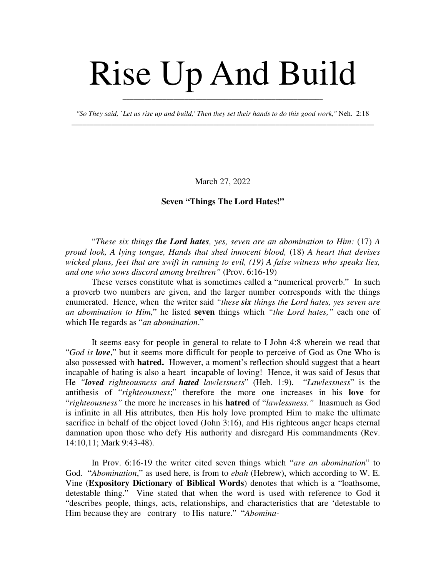# Rise Up And Build

*"So They said, `Let us rise up and build,' Then they set their hands to do this good work,"* Neh. 2:18 \_\_\_\_\_\_\_\_\_\_\_\_\_\_\_\_\_\_\_\_\_\_\_\_\_\_\_\_\_\_\_\_\_\_\_\_\_\_\_\_\_\_\_\_\_\_\_\_\_\_\_\_\_\_\_\_\_\_\_\_\_\_\_\_\_\_\_\_\_\_\_\_\_\_\_\_\_\_\_\_\_\_\_

\_\_\_\_\_\_\_\_\_\_\_\_\_\_\_\_\_\_\_\_\_\_\_\_\_\_\_\_\_\_\_\_\_\_\_\_\_\_\_\_\_\_\_\_\_\_\_\_\_\_\_\_\_\_\_

March 27, 2022

## **Seven "Things The Lord Hates!"**

"*These six things the Lord hates, yes, seven are an abomination to Him:* (17) *A proud look, A lying tongue, Hands that shed innocent blood,* (18) *A heart that devises wicked plans, feet that are swift in running to evil, (19) A false witness who speaks lies, and one who sows discord among brethren"* (Prov. 6:16-19)

These verses constitute what is sometimes called a "numerical proverb." In such a proverb two numbers are given, and the larger number corresponds with the things enumerated. Hence, when the writer said *"these six things the Lord hates, yes seven are an abomination to Him,*" he listed **seven** things which *"the Lord hates,"* each one of which He regards as "*an abomination*."

It seems easy for people in general to relate to I John 4:8 wherein we read that "*God is love*," but it seems more difficult for people to perceive of God as One Who is also possessed with **hatred.** However, a moment's reflection should suggest that a heart incapable of hating is also a heart incapable of loving! Hence, it was said of Jesus that He *"loved righteousness and hated lawlessness*" (Heb. 1:9). "*Lawlessness*" is the antithesis of "*righteousness*;" therefore the more one increases in his **love** for "*righteousness"* the more he increases in his **hatred** of "*lawlessness."* Inasmuch as God is infinite in all His attributes, then His holy love prompted Him to make the ultimate sacrifice in behalf of the object loved (John 3:16), and His righteous anger heaps eternal damnation upon those who defy His authority and disregard His commandments (Rev. 14:10,11; Mark 9:43-48).

In Prov. 6:16-19 the writer cited seven things which "*are an abomination*" to God. "*Abomination*," as used here, is from to *ebah* (Hebrew), which according to W. E. Vine (**Expository Dictionary of Biblical Words**) denotes that which is a "loathsome, detestable thing." Vine stated that when the word is used with reference to God it "describes people, things, acts, relationships, and characteristics that are 'detestable to Him because they are contrary to His nature." "*Abomina-*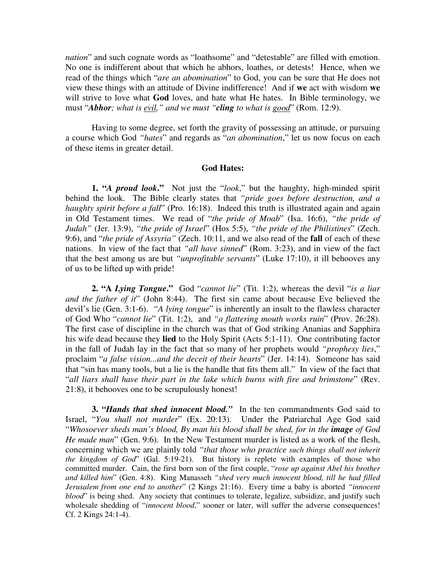*nation*" and such cognate words as "loathsome" and "detestable" are filled with emotion. No one is indifferent about that which he abhors, loathes, or detests! Hence, when we read of the things which "*are an abomination*" to God, you can be sure that He does not view these things with an attitude of Divine indifference! And if **we** act with wisdom **we** will strive to love what **God** loves, and hate what He hates. In Bible terminology, we must "*Abhor; what is evil," and we must "cling to what is good*" (Rom. 12:9).

Having to some degree, set forth the gravity of possessing an attitude, or pursuing a course which God *"hates*" and regards as "*an abomination*," let us now focus on each of these items in greater detail.

#### **God Hates:**

**1. "***A proud look***."** Not just the "*look*," but the haughty, high-minded spirit behind the look. The Bible clearly states that *"pride goes before destruction, and a haughty spirit before a fall*" (Pro. 16:18). Indeed this truth is illustrated again and again in Old Testament times. We read of "*the pride of Moab*" (Isa. 16:6), *"the pride of Judah"* (Jer. 13:9), *"the pride of Israel*" (Hos 5:5), *"the pride of the Philistines*" (Zech. 9:6), and "*the pride of Assyria"* (Zech. 10:11, and we also read of the **fall** of each of these nations. In view of the fact that *"all have sinned*" (Rom. 3:23), and in view of the fact that the best among us are but *"unprofitable servants*" (Luke 17:10), it ill behooves any of us to be lifted up with pride!

**2. "A** *Lying Tongue***."** God "*cannot lie*" (Tit. 1:2), whereas the devil "*is a liar and the father of it*" (John 8:44). The first sin came about because Eve believed the devil's lie (Gen. 3:1-6). *"A lying tongue*" is inherently an insult to the flawless character of God Who "*cannot lie*" (Tit. 1:2), and *"a flattering mouth works ruin*" (Prov. 26:28). The first case of discipline in the church was that of God striking Ananias and Sapphira his wife dead because they **lied** to the Holy Spirit (Acts 5:1-11). One contributing factor in the fall of Judah lay in the fact that so many of her prophets would *"prophesy lies*," proclaim "*a false vision...and the deceit of their hearts*" (Jer. 14:14). Someone has said that "sin has many tools, but a lie is the handle that fits them all." In view of the fact that "*all liars shall have their part in the lake which burns with fire and brimstone*" (Rev. 21:8), it behooves one to be scrupulously honest!

**3.** *"Hands that shed innocent blood."* In the ten commandments God said to Israel, "*You shall not murder*" (Ex. 20:13). Under the Patriarchal Age God said "Whosoever sheds man's blood, By man his blood shall be shed, for in the *image* of God *He made man*" (Gen. 9:6). In the New Testament murder is listed as a work of the flesh, concerning which we are plainly told *"that those who practice such things shall not inherit the kingdom of God*" (Gal. 5:19-21). But history is replete with examples of those who committed murder. Cain, the first born son of the first couple, "*rose up against Abel his brother and killed him*" (Gen. 4:8). King Manasseh *"shed very much innocent blood, till he had filled Jerusalem from one end to another*" (2 Kings 21:16). Every time a baby is aborted *"innocent blood*" is being shed. Any society that continues to tolerate, legalize, subsidize, and justify such wholesale shedding of "*innocent blood*," sooner or later, will suffer the adverse consequences! Cf. 2 Kings 24:1-4).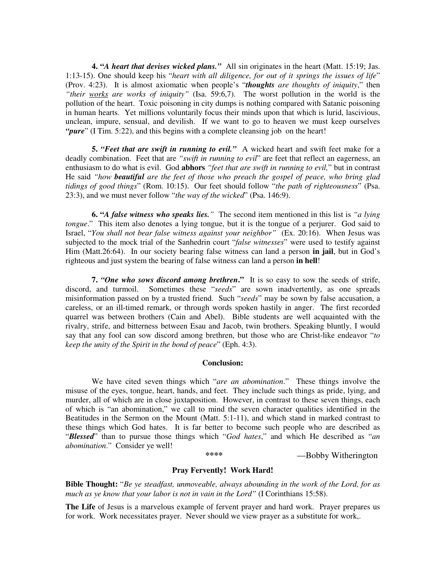**4. "***A heart that devises wicked plans."*All sin originates in the heart (Matt. 15:19; Jas. 1:13-15). One should keep his "*heart with all diligence, for out of it springs the issues of life*" (Prov. 4:23). It is almost axiomatic when people's "*thoughts are thoughts of iniquity*," then *"their works are works of iniquity"* (Isa. 59:6,7). The worst pollution in the world is the pollution of the heart. Toxic poisoning in city dumps is nothing compared with Satanic poisoning in human hearts. Yet millions voluntarily focus their minds upon that which is lurid, lascivious, unclean, impure, sensual, and devilish. If we want to go to heaven we must keep ourselves *"pure*" (I Tim. 5:22), and this begins with a complete cleansing job on the heart!

**5.** *"Feet that are swift in running to evil."* A wicked heart and swift feet make for a deadly combination. Feet that are *"swift in running to evil*" are feet that reflect an eagerness, an enthusiasm to do what is evil. God **abhors** *"feet that are swift in running to evil,*" but in contrast He said *"how beautiful are the feet of those who preach the gospel of peace, who bring glad tidings of good things*" (Rom. 10:15). Our feet should follow "*the path of righteousness*" (Psa. 23:3), and we must never follow "*the way of the wicked*" (Psa. 146:9).

**6. "***A false witness who speaks lies."* The second item mentioned in this list is *"a lying tongue*." This item also denotes a lying tongue, but it is the tongue of a perjurer. God said to Israel, "*You shall not bear false witness against your neighbor"* (Ex. 20:16). When Jesus was subjected to the mock trial of the Sanhedrin court "*false witnesses*" were used to testify against Him (Matt.26:64). In our society bearing false witness can land a person **in jail**, but in God's righteous and just system the bearing of false witness can land a person **in hell**!

**7.** *"One who sows discord among brethren***."** It is so easy to sow the seeds of strife, discord, and turmoil. Sometimes these "*seeds*" are sown inadvertently, as one spreads misinformation passed on by a trusted friend. Such "*seeds*" may be sown by false accusation, a careless, or an ill-timed remark, or through words spoken hastily in anger. The first recorded quarrel was between brothers (Cain and Abel). Bible students are well acquainted with the rivalry, strife, and bitterness between Esau and Jacob, twin brothers. Speaking bluntly, I would say that any fool can sow discord among brethren, but those who are Christ-like endeavor "*to keep the unity of the Spirit in the bond of peace*" (Eph. 4:3).

#### **Conclusion:**

We have cited seven things which "*are an abomination*." These things involve the misuse of the eyes, tongue, heart, hands, and feet. They include such things as pride, lying, and murder, all of which are in close juxtaposition. However, in contrast to these seven things, each of which is "an abomination," we call to mind the seven character qualities identified in the Beatitudes in the Sermon on the Mount (Matt. 5:1-11), and which stand in marked contrast to these things which God hates. It is far better to become such people who are described as "*Blessed*" than to pursue those things which "*God hates*," and which He described as "*an abomination*." Consider ye well!

 **\*\*\*\*** —Bobby Witherington

### **Pray Fervently! Work Hard!**

**Bible Thought:** "*Be ye steadfast, unmoveable, always abounding in the work of the Lord, for as much as ye know that your labor is not in vain in the Lord"* (I Corinthians 15:58).

**The Life** of Jesus is a marvelous example of fervent prayer and hard work. Prayer prepares us for work. Work necessitates prayer. Never should we view prayer as a substitute for work,.